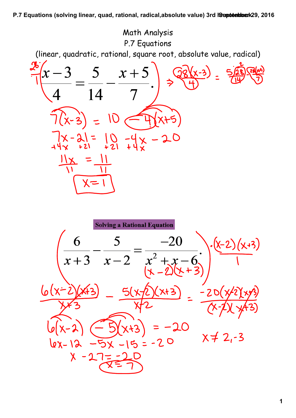

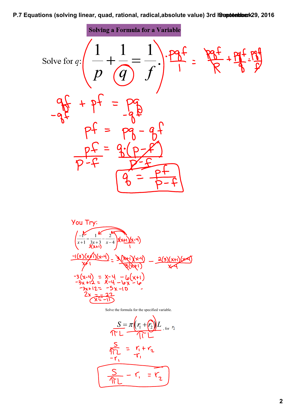

$$
\frac{S = \pi (r_1 + r_2)L}{\sqrt{\Gamma L}}
$$
 for  $r_2$   

$$
\frac{S}{\sqrt{\Gamma L}} = \frac{r_1 + r_2}{-r_1}
$$
  

$$
\frac{S}{\sqrt{\Gamma L}} - \frac{r_1}{r_1} = \frac{r_2}{r_2}
$$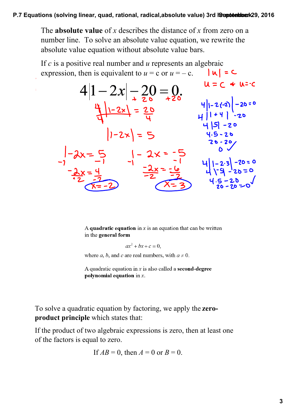The **absolute value** of *x* describes the distance of *x* from zero on a number line. To solve an absolute value equation, we rewrite the absolute value equation without absolute value bars.

If *c* is a positive real number and *u* represents an algebraic expression, then is equivalent to  $u = c$  or  $u = -c$ .  $\left| \mu \right| = c$ 

 $\overline{1}$ 

$$
4|1-2x| - 20 = 0
$$
\n
$$
\frac{4}{4}|1-2x| = \frac{20}{4}
$$
\n
$$
1-2x = \frac{20}{4}
$$
\n
$$
1-2x = 5
$$
\n
$$
1-2x = 5
$$
\n
$$
-\frac{2x}{4} = \frac{4}{4}
$$
\n
$$
-\frac{2x}{4} = \frac{4}{4}
$$
\n
$$
-\frac{2x}{4} = \frac{4}{4}
$$
\n
$$
-\frac{2x}{4} = \frac{4}{4}
$$
\n
$$
-\frac{2x}{2} = \frac{4}{4}
$$
\n
$$
-\frac{2x}{2} = \frac{4}{4}
$$
\n
$$
-\frac{2x}{2} = \frac{4}{4}
$$
\n
$$
-\frac{2x}{2} = \frac{4}{4}
$$
\n
$$
-\frac{2x}{2} = \frac{4}{4}
$$
\n
$$
-\frac{2x}{2} = \frac{4}{4}
$$
\n
$$
-\frac{2x}{2} = \frac{4}{4}
$$
\n
$$
-\frac{2x}{2} = \frac{4}{4}
$$
\n
$$
-\frac{2x}{2} = \frac{4}{4}
$$
\n
$$
-\frac{4}{4} = \frac{20}{4} = 20
$$

A quadratic equation in  $x$  is an equation that can be written in the general form

$$
ax^2 + bx + c = 0,
$$

where *a*, *b*, and *c* are real numbers, with  $a \ne 0$ .

A quadratic equation in  $x$  is also called a **second-degree** polynomial equation in  $x$ .

To solve a quadratic equation by factoring, we apply the **zeroproduct principle** which states that:

If the product of two algebraic expressions is zero, then at least one of the factors is equal to zero.

If 
$$
AB = 0
$$
, then  $A = 0$  or  $B = 0$ .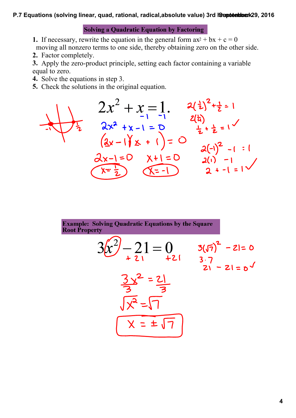**Solving a Quadratic Equation by Factoring** 

- **1.** If necessary, rewrite the equation in the general form  $ax^2 + bx + c = 0$ moving all nonzero terms to one side, thereby obtaining zero on the other side.
- **2.** Factor completely.
- **3.** Apply the zero-product principle, setting each factor containing a variable equal to zero.
- **4.** Solve the equations in step 3.
- **5.** Check the solutions in the original equation.

$$
2x^{2} + x = 1
$$
  
\n
$$
2x^{2} + x = 1
$$
  
\n
$$
2x^{2} + x - 1 = 0
$$
  
\n
$$
(2x - 1)(x + 1) = 0
$$
  
\n
$$
2x^{2} + x - 1 = 0
$$
  
\n
$$
2x^{2} + x - 1 = 0
$$
  
\n
$$
2x^{2} + x - 1 = 0
$$
  
\n
$$
2x^{2} + x - 1 = 0
$$
  
\n
$$
2x^{2} + x - 1 = 0
$$
  
\n
$$
2x^{2} + x - 1 = 0
$$
  
\n
$$
2x^{2} + x - 1 = 1
$$
  
\n
$$
2x^{2} + x - 1 = 1
$$
  
\n
$$
2x^{2} + x - 1 = 1
$$

$$
3x^{2}-21=0
$$
  
\n
$$
3\sqrt{7} - 21 = 0
$$
  
\n
$$
3\sqrt{7} - 21 = 0
$$
  
\n
$$
3\sqrt{7} - 21 = 0
$$
  
\n
$$
3\sqrt{7} - 21 = 0
$$
  
\n
$$
\sqrt{x^{2}-1}
$$
  
\n
$$
x = \pm \sqrt{7}
$$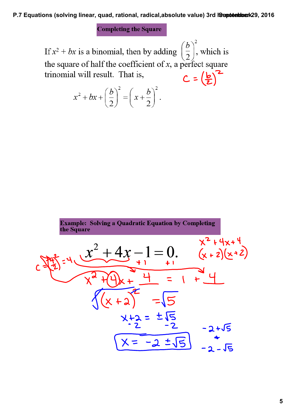**Completing the Square** 

 $\left(\frac{b}{2}\right)^2$ , which is If  $x^2 + bx$  is a binomial, then by adding the square of half the coefficient of x, a perfect square trinomial will result. That is,  $C = \left(\frac{b}{2}\right)^2$ 

$$
x^2 + bx + \left(\frac{b}{2}\right)^2 = \left(x + \frac{b}{2}\right)^2
$$

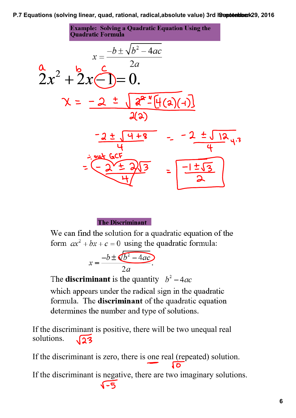**Example: Solving a Quadratic Equation Using the Quadratic Formula** 



**The Discriminant** 

We can find the solution for a quadratic equation of the form  $ax^2 + bx + c = 0$  using the quadratic formula:

$$
x = \frac{-b \pm \sqrt{b^2 - 4ac}}{2a}.
$$

The **discriminant** is the quantity  $b^2 - 4ac$ 

which appears under the radical sign in the quadratic formula. The **discriminant** of the quadratic equation determines the number and type of solutions.

If the discriminant is positive, there will be two unequal real solutions.  $\sqrt{23}$ 

If the discriminant is zero, there is one real (repeated) solution.

If the discriminant is negative, there are two imaginary solutions. $\sqrt{-5}$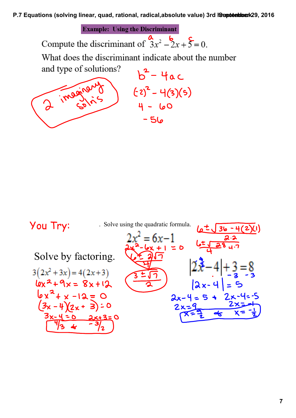**Example: Using the Discriminant** 

Compute the discriminant of  $\frac{a}{3x^2} - 2x + 5 = 0$ .

What does the discriminant indicate about the number

and type of solutions?  $b^2-4ac$ 2 imaginar  $(52)^2 - 4(3)(5)$  $4 - 60$  $-56$ 

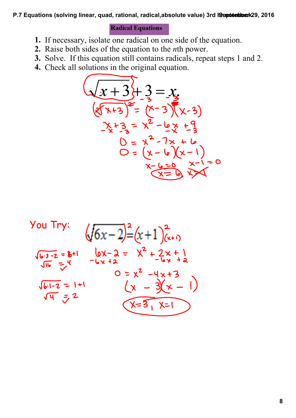## **Radical Equations**

- **1.** If necessary, isolate one radical on one side of the equation.
- **2.** Raise both sides of the equation to the *n*th power.
- **3.** Solve. If this equation still contains radicals, repeat steps 1 and 2.
- **4.** Check all solutions in the original equation.



You Try:  
\n
$$
\sqrt{6x-2} = (x+1)(x+1)
$$
\n
$$
\sqrt{6x-2} = (x+1)(x+1)
$$
\n
$$
\sqrt{6x-2} = (x+1)(x+1)
$$
\n
$$
\sqrt{6x-2} = x^2 + 2x + 1
$$
\n
$$
\sqrt{6x-2} = x^2 - 4x + 3
$$
\n
$$
\sqrt{6x-2} = x^2 - 4x + 3
$$
\n
$$
\sqrt{4x-2} = x^2 - 4x + 3
$$
\n
$$
\sqrt{4x-3} = x^2 - 1
$$
\n
$$
\sqrt{4x-3} = x^2 - 1
$$